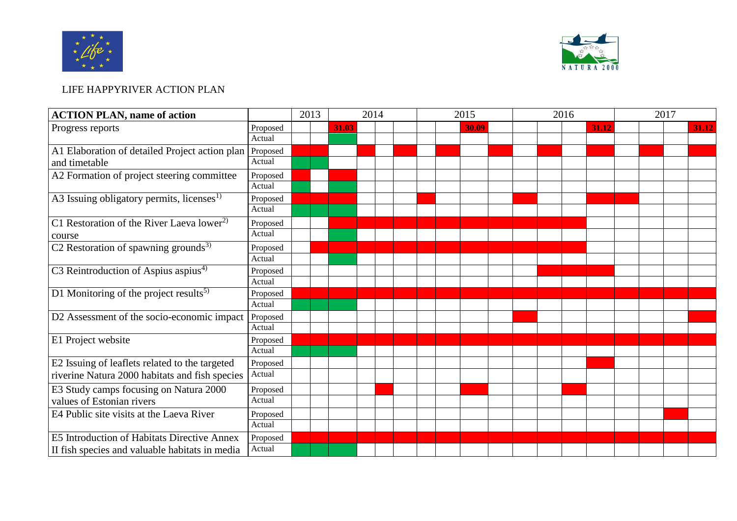



## LIFE HAPPYRIVER ACTION PLAN

| <b>ACTION PLAN, name of action</b>                                                               |          | 2013 | 2014  |  |  | 2015 |  |  |       | 2016 |  |  |  | 2017  |  |  |  |       |
|--------------------------------------------------------------------------------------------------|----------|------|-------|--|--|------|--|--|-------|------|--|--|--|-------|--|--|--|-------|
| Progress reports                                                                                 | Proposed |      | 31.03 |  |  |      |  |  | 30.09 |      |  |  |  | 31.12 |  |  |  | 31.12 |
|                                                                                                  | Actual   |      |       |  |  |      |  |  |       |      |  |  |  |       |  |  |  |       |
| A1 Elaboration of detailed Project action plan<br>and timetable                                  | Proposed |      |       |  |  |      |  |  |       |      |  |  |  |       |  |  |  |       |
|                                                                                                  | Actual   |      |       |  |  |      |  |  |       |      |  |  |  |       |  |  |  |       |
| A2 Formation of project steering committee                                                       | Proposed |      |       |  |  |      |  |  |       |      |  |  |  |       |  |  |  |       |
|                                                                                                  | Actual   |      |       |  |  |      |  |  |       |      |  |  |  |       |  |  |  |       |
| A3 Issuing obligatory permits, licenses <sup>1)</sup>                                            | Proposed |      |       |  |  |      |  |  |       |      |  |  |  |       |  |  |  |       |
|                                                                                                  | Actual   |      |       |  |  |      |  |  |       |      |  |  |  |       |  |  |  |       |
| C1 Restoration of the River Laeva lower <sup>2)</sup><br>course                                  | Proposed |      |       |  |  |      |  |  |       |      |  |  |  |       |  |  |  |       |
|                                                                                                  | Actual   |      |       |  |  |      |  |  |       |      |  |  |  |       |  |  |  |       |
| C2 Restoration of spawning grounds <sup>3)</sup>                                                 | Proposed |      |       |  |  |      |  |  |       |      |  |  |  |       |  |  |  |       |
|                                                                                                  | Actual   |      |       |  |  |      |  |  |       |      |  |  |  |       |  |  |  |       |
| C3 Reintroduction of Aspius aspius <sup>4)</sup>                                                 | Proposed |      |       |  |  |      |  |  |       |      |  |  |  |       |  |  |  |       |
|                                                                                                  | Actual   |      |       |  |  |      |  |  |       |      |  |  |  |       |  |  |  |       |
| D1 Monitoring of the project results <sup>5)</sup>                                               | Proposed |      |       |  |  |      |  |  |       |      |  |  |  |       |  |  |  |       |
|                                                                                                  | Actual   |      |       |  |  |      |  |  |       |      |  |  |  |       |  |  |  |       |
| D2 Assessment of the socio-economic impact                                                       | Proposed |      |       |  |  |      |  |  |       |      |  |  |  |       |  |  |  |       |
|                                                                                                  | Actual   |      |       |  |  |      |  |  |       |      |  |  |  |       |  |  |  |       |
| E1 Project website                                                                               | Proposed |      |       |  |  |      |  |  |       |      |  |  |  |       |  |  |  |       |
|                                                                                                  | Actual   |      |       |  |  |      |  |  |       |      |  |  |  |       |  |  |  |       |
| E2 Issuing of leaflets related to the targeted<br>riverine Natura 2000 habitats and fish species | Proposed |      |       |  |  |      |  |  |       |      |  |  |  |       |  |  |  |       |
|                                                                                                  | Actual   |      |       |  |  |      |  |  |       |      |  |  |  |       |  |  |  |       |
| E3 Study camps focusing on Natura 2000<br>values of Estonian rivers                              | Proposed |      |       |  |  |      |  |  |       |      |  |  |  |       |  |  |  |       |
|                                                                                                  | Actual   |      |       |  |  |      |  |  |       |      |  |  |  |       |  |  |  |       |
| E4 Public site visits at the Laeva River                                                         | Proposed |      |       |  |  |      |  |  |       |      |  |  |  |       |  |  |  |       |
|                                                                                                  | Actual   |      |       |  |  |      |  |  |       |      |  |  |  |       |  |  |  |       |
| E5 Introduction of Habitats Directive Annex                                                      | Proposed |      |       |  |  |      |  |  |       |      |  |  |  |       |  |  |  |       |
| II fish species and valuable habitats in media                                                   | Actual   |      |       |  |  |      |  |  |       |      |  |  |  |       |  |  |  |       |